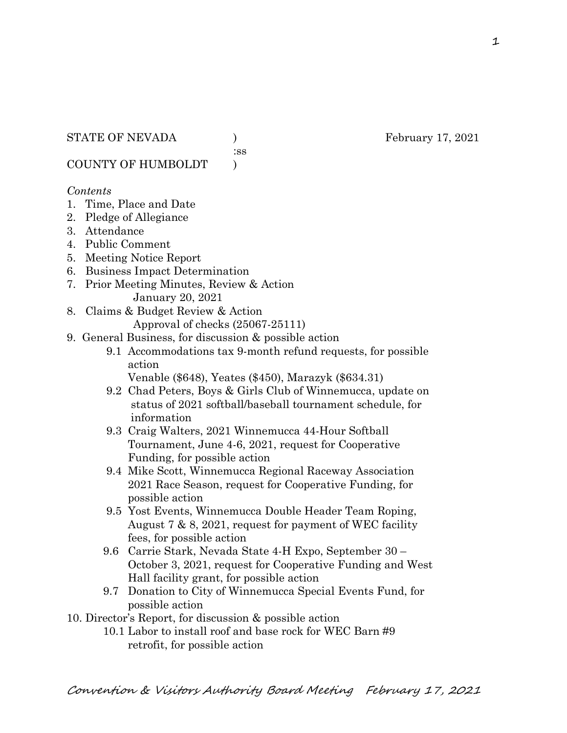:ss

COUNTY OF HUMBOLDT )

#### *Contents*

- 1. Time, Place and Date
- 2. Pledge of Allegiance
- 3. Attendance
- 4. Public Comment
- 5. Meeting Notice Report
- 6. Business Impact Determination
- 7. Prior Meeting Minutes, Review & Action January 20, 2021
- 8. Claims & Budget Review & Action

Approval of checks (25067-25111)

- 9. General Business, for discussion & possible action
	- 9.1 Accommodations tax 9-month refund requests, for possible action

Venable (\$648), Yeates (\$450), Marazyk (\$634.31)

- 9.2 Chad Peters, Boys & Girls Club of Winnemucca, update on status of 2021 softball/baseball tournament schedule, for information
- 9.3 Craig Walters, 2021 Winnemucca 44-Hour Softball Tournament, June 4-6, 2021, request for Cooperative Funding, for possible action
- 9.4 Mike Scott, Winnemucca Regional Raceway Association 2021 Race Season, request for Cooperative Funding, for possible action
- 9.5 Yost Events, Winnemucca Double Header Team Roping, August 7 & 8, 2021, request for payment of WEC facility fees, for possible action
- 9.6 Carrie Stark, Nevada State 4-H Expo, September 30 October 3, 2021, request for Cooperative Funding and West Hall facility grant, for possible action
- 9.7 Donation to City of Winnemucca Special Events Fund, for possible action
- 10. Director's Report, for discussion & possible action
	- 10.1 Labor to install roof and base rock for WEC Barn #9 retrofit, for possible action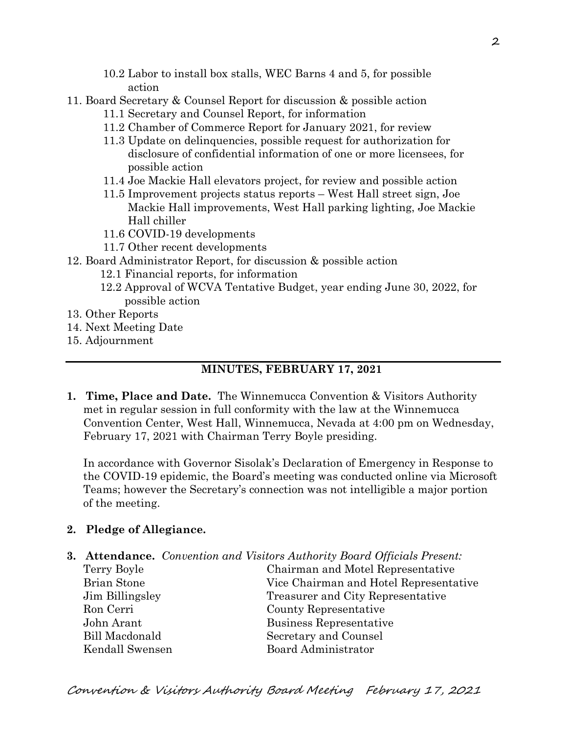- 10.2 Labor to install box stalls, WEC Barns 4 and 5, for possible action
- 11. Board Secretary & Counsel Report for discussion & possible action
	- 11.1 Secretary and Counsel Report, for information
	- 11.2 Chamber of Commerce Report for January 2021, for review
	- 11.3 Update on delinquencies, possible request for authorization for disclosure of confidential information of one or more licensees, for possible action
	- 11.4 Joe Mackie Hall elevators project, for review and possible action
	- 11.5 Improvement projects status reports West Hall street sign, Joe Mackie Hall improvements, West Hall parking lighting, Joe Mackie Hall chiller
	- 11.6 COVID-19 developments
	- 11.7 Other recent developments
- 12. Board Administrator Report, for discussion & possible action
	- 12.1 Financial reports, for information
	- 12.2 Approval of WCVA Tentative Budget, year ending June 30, 2022, for possible action
- 13. Other Reports
- 14. Next Meeting Date
- 15. Adjournment

# **MINUTES, FEBRUARY 17, 2021**

**1. Time, Place and Date.** The Winnemucca Convention & Visitors Authority met in regular session in full conformity with the law at the Winnemucca Convention Center, West Hall, Winnemucca, Nevada at 4:00 pm on Wednesday, February 17, 2021 with Chairman Terry Boyle presiding.

In accordance with Governor Sisolak's Declaration of Emergency in Response to the COVID-19 epidemic, the Board's meeting was conducted online via Microsoft Teams; however the Secretary's connection was not intelligible a major portion of the meeting.

## **2. Pledge of Allegiance.**

- **3. Attendance.** *Convention and Visitors Authority Board Officials Present:*
	- Ron Cerri County Representative John Arant Business Representative Bill Macdonald Secretary and Counsel Kendall Swensen Board Administrator

Terry Boyle Chairman and Motel Representative Brian Stone Vice Chairman and Hotel Representative Jim Billingsley Treasurer and City Representative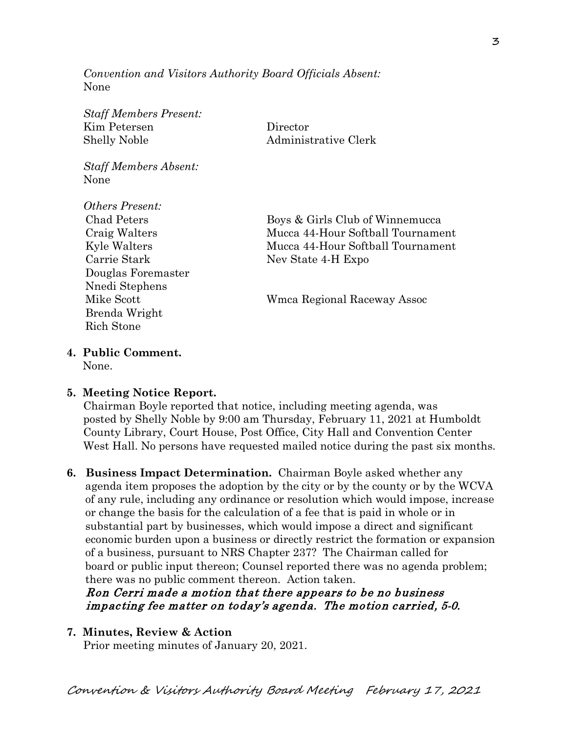*Convention and Visitors Authority Board Officials Absent:* None

*Staff Members Present:* Kim Petersen Director Shelly Noble Administrative Clerk

*Staff Members Absent:* None

*Others Present:* Carrie Stark Nev State 4-H Expo Douglas Foremaster Nnedi Stephens Brenda Wright Rich Stone

Chad Peters Boys & Girls Club of Winnemucca Craig Walters Mucca 44-Hour Softball Tournament Kyle Walters Mucca 44-Hour Softball Tournament

Mike Scott Wmca Regional Raceway Assoc

**4. Public Comment.**

None.

#### **5. Meeting Notice Report.**

Chairman Boyle reported that notice, including meeting agenda, was posted by Shelly Noble by 9:00 am Thursday, February 11, 2021 at Humboldt County Library, Court House, Post Office, City Hall and Convention Center West Hall. No persons have requested mailed notice during the past six months.

**6. Business Impact Determination.** Chairman Boyle asked whether any agenda item proposes the adoption by the city or by the county or by the WCVA of any rule, including any ordinance or resolution which would impose, increase or change the basis for the calculation of a fee that is paid in whole or in substantial part by businesses, which would impose a direct and significant economic burden upon a business or directly restrict the formation or expansion of a business, pursuant to NRS Chapter 237? The Chairman called for board or public input thereon; Counsel reported there was no agenda problem; there was no public comment thereon. Action taken.

## Ron Cerri made a motion that there appears to be no business impacting fee matter on today's agenda. The motion carried, 5-0.

#### **7. Minutes, Review & Action**

Prior meeting minutes of January 20, 2021.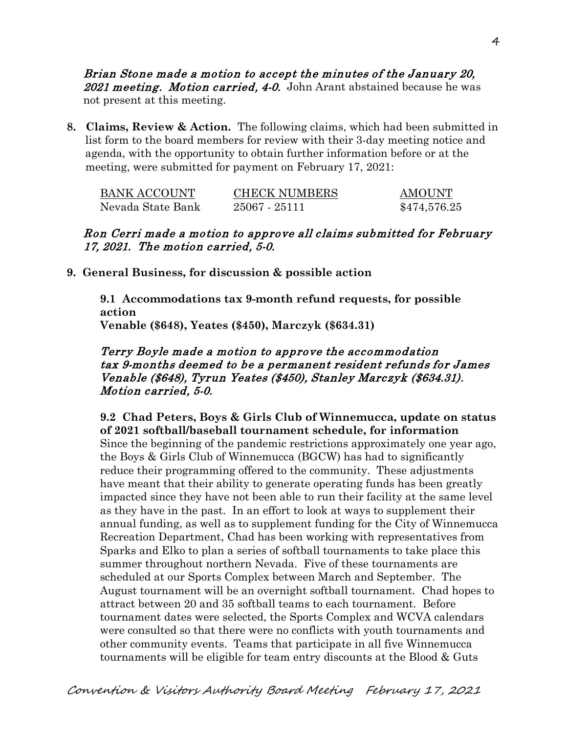Brian Stone made a motion to accept the minutes of the January 20, 2021 meeting. Motion carried, 4-0. John Arant abstained because he was not present at this meeting.

**8. Claims, Review & Action.** The following claims, which had been submitted in list form to the board members for review with their 3-day meeting notice and agenda, with the opportunity to obtain further information before or at the meeting, were submitted for payment on February 17, 2021:

| BANK ACCOUNT      | <b>CHECK NUMBERS</b> | <b>AMOUNT</b> |
|-------------------|----------------------|---------------|
| Nevada State Bank | $25067 - 25111$      | \$474,576.25  |

## Ron Cerri made a motion to approve all claims submitted for February 17, 2021. The motion carried, 5-0.

**9. General Business, for discussion & possible action**

**9.1 Accommodations tax 9-month refund requests, for possible action Venable (\$648), Yeates (\$450), Marczyk (\$634.31)**

## Terry Boyle made a motion to approve the accommodation tax 9-months deemed to be a permanent resident refunds for James Venable (\$648), Tyrun Yeates (\$450), Stanley Marczyk (\$634.31). Motion carried, 5-0.

**9.2 Chad Peters, Boys & Girls Club of Winnemucca, update on status of 2021 softball/baseball tournament schedule, for information** Since the beginning of the pandemic restrictions approximately one year ago, the Boys & Girls Club of Winnemucca (BGCW) has had to significantly reduce their programming offered to the community. These adjustments have meant that their ability to generate operating funds has been greatly impacted since they have not been able to run their facility at the same level as they have in the past. In an effort to look at ways to supplement their annual funding, as well as to supplement funding for the City of Winnemucca Recreation Department, Chad has been working with representatives from Sparks and Elko to plan a series of softball tournaments to take place this summer throughout northern Nevada. Five of these tournaments are scheduled at our Sports Complex between March and September. The August tournament will be an overnight softball tournament. Chad hopes to attract between 20 and 35 softball teams to each tournament. Before tournament dates were selected, the Sports Complex and WCVA calendars were consulted so that there were no conflicts with youth tournaments and other community events. Teams that participate in all five Winnemucca tournaments will be eligible for team entry discounts at the Blood & Guts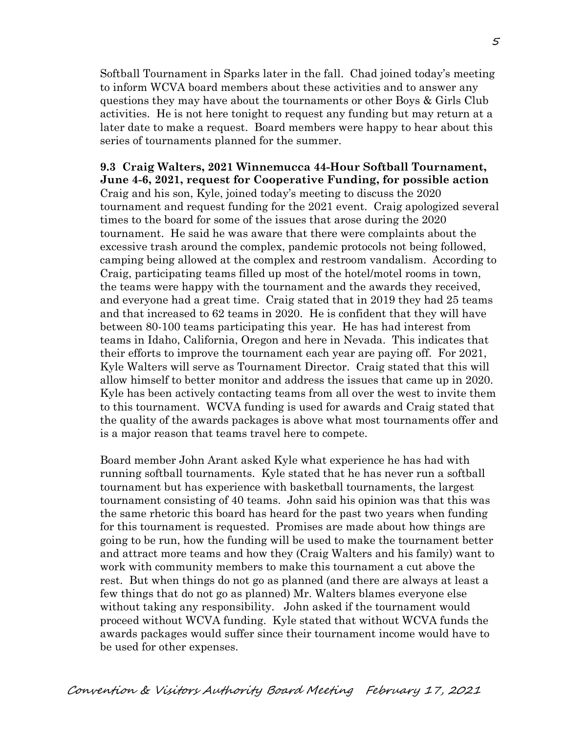Softball Tournament in Sparks later in the fall. Chad joined today's meeting to inform WCVA board members about these activities and to answer any questions they may have about the tournaments or other Boys & Girls Club activities. He is not here tonight to request any funding but may return at a later date to make a request. Board members were happy to hear about this series of tournaments planned for the summer.

**9.3 Craig Walters, 2021 Winnemucca 44-Hour Softball Tournament, June 4-6, 2021, request for Cooperative Funding, for possible action** Craig and his son, Kyle, joined today's meeting to discuss the 2020 tournament and request funding for the 2021 event. Craig apologized several times to the board for some of the issues that arose during the 2020 tournament. He said he was aware that there were complaints about the excessive trash around the complex, pandemic protocols not being followed, camping being allowed at the complex and restroom vandalism. According to Craig, participating teams filled up most of the hotel/motel rooms in town, the teams were happy with the tournament and the awards they received, and everyone had a great time. Craig stated that in 2019 they had 25 teams and that increased to 62 teams in 2020. He is confident that they will have between 80-100 teams participating this year. He has had interest from teams in Idaho, California, Oregon and here in Nevada. This indicates that their efforts to improve the tournament each year are paying off. For 2021, Kyle Walters will serve as Tournament Director. Craig stated that this will allow himself to better monitor and address the issues that came up in 2020. Kyle has been actively contacting teams from all over the west to invite them to this tournament. WCVA funding is used for awards and Craig stated that the quality of the awards packages is above what most tournaments offer and is a major reason that teams travel here to compete.

Board member John Arant asked Kyle what experience he has had with running softball tournaments. Kyle stated that he has never run a softball tournament but has experience with basketball tournaments, the largest tournament consisting of 40 teams. John said his opinion was that this was the same rhetoric this board has heard for the past two years when funding for this tournament is requested. Promises are made about how things are going to be run, how the funding will be used to make the tournament better and attract more teams and how they (Craig Walters and his family) want to work with community members to make this tournament a cut above the rest. But when things do not go as planned (and there are always at least a few things that do not go as planned) Mr. Walters blames everyone else without taking any responsibility. John asked if the tournament would proceed without WCVA funding. Kyle stated that without WCVA funds the awards packages would suffer since their tournament income would have to be used for other expenses.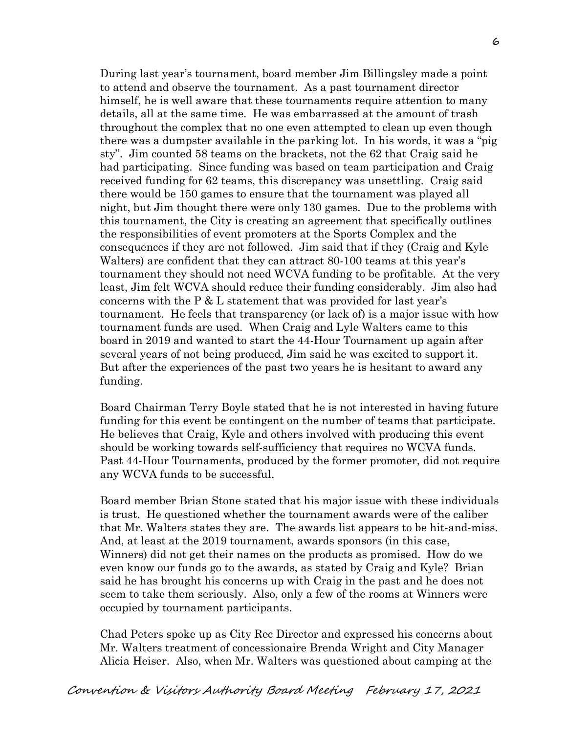During last year's tournament, board member Jim Billingsley made a point to attend and observe the tournament. As a past tournament director himself, he is well aware that these tournaments require attention to many details, all at the same time. He was embarrassed at the amount of trash throughout the complex that no one even attempted to clean up even though there was a dumpster available in the parking lot. In his words, it was a "pig sty". Jim counted 58 teams on the brackets, not the 62 that Craig said he had participating. Since funding was based on team participation and Craig received funding for 62 teams, this discrepancy was unsettling. Craig said there would be 150 games to ensure that the tournament was played all night, but Jim thought there were only 130 games. Due to the problems with this tournament, the City is creating an agreement that specifically outlines the responsibilities of event promoters at the Sports Complex and the consequences if they are not followed. Jim said that if they (Craig and Kyle Walters) are confident that they can attract 80-100 teams at this year's tournament they should not need WCVA funding to be profitable. At the very least, Jim felt WCVA should reduce their funding considerably. Jim also had concerns with the P & L statement that was provided for last year's tournament. He feels that transparency (or lack of) is a major issue with how tournament funds are used. When Craig and Lyle Walters came to this board in 2019 and wanted to start the 44-Hour Tournament up again after several years of not being produced, Jim said he was excited to support it. But after the experiences of the past two years he is hesitant to award any funding.

Board Chairman Terry Boyle stated that he is not interested in having future funding for this event be contingent on the number of teams that participate. He believes that Craig, Kyle and others involved with producing this event should be working towards self-sufficiency that requires no WCVA funds. Past 44-Hour Tournaments, produced by the former promoter, did not require any WCVA funds to be successful.

Board member Brian Stone stated that his major issue with these individuals is trust. He questioned whether the tournament awards were of the caliber that Mr. Walters states they are. The awards list appears to be hit-and-miss. And, at least at the 2019 tournament, awards sponsors (in this case, Winners) did not get their names on the products as promised. How do we even know our funds go to the awards, as stated by Craig and Kyle? Brian said he has brought his concerns up with Craig in the past and he does not seem to take them seriously. Also, only a few of the rooms at Winners were occupied by tournament participants.

Chad Peters spoke up as City Rec Director and expressed his concerns about Mr. Walters treatment of concessionaire Brenda Wright and City Manager Alicia Heiser. Also, when Mr. Walters was questioned about camping at the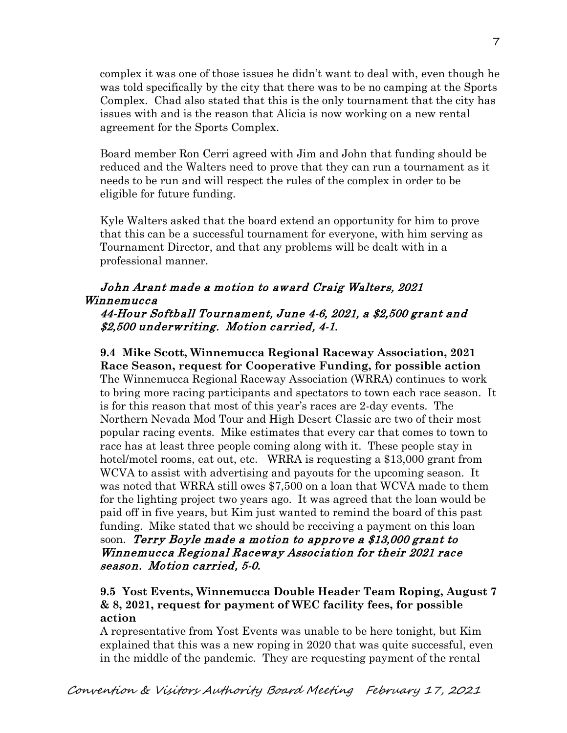complex it was one of those issues he didn't want to deal with, even though he was told specifically by the city that there was to be no camping at the Sports Complex. Chad also stated that this is the only tournament that the city has issues with and is the reason that Alicia is now working on a new rental agreement for the Sports Complex.

Board member Ron Cerri agreed with Jim and John that funding should be reduced and the Walters need to prove that they can run a tournament as it needs to be run and will respect the rules of the complex in order to be eligible for future funding.

Kyle Walters asked that the board extend an opportunity for him to prove that this can be a successful tournament for everyone, with him serving as Tournament Director, and that any problems will be dealt with in a professional manner.

## John Arant made a motion to award Craig Walters, 2021 Winnemucca

#### 44-Hour Softball Tournament, June 4-6, 2021, a \$2,500 grant and \$2,500 underwriting. Motion carried, 4-1.

**9.4 Mike Scott, Winnemucca Regional Raceway Association, 2021 Race Season, request for Cooperative Funding, for possible action** The Winnemucca Regional Raceway Association (WRRA) continues to work to bring more racing participants and spectators to town each race season. It is for this reason that most of this year's races are 2-day events. The Northern Nevada Mod Tour and High Desert Classic are two of their most popular racing events. Mike estimates that every car that comes to town to race has at least three people coming along with it. These people stay in hotel/motel rooms, eat out, etc. WRRA is requesting a \$13,000 grant from WCVA to assist with advertising and payouts for the upcoming season. It was noted that WRRA still owes \$7,500 on a loan that WCVA made to them for the lighting project two years ago. It was agreed that the loan would be paid off in five years, but Kim just wanted to remind the board of this past funding. Mike stated that we should be receiving a payment on this loan soon. Terry Boyle made a motion to approve a \$13,000 grant to Winnemucca Regional Raceway Association for their 2021 race season. Motion carried, 5-0.

## **9.5 Yost Events, Winnemucca Double Header Team Roping, August 7 & 8, 2021, request for payment of WEC facility fees, for possible action**

A representative from Yost Events was unable to be here tonight, but Kim explained that this was a new roping in 2020 that was quite successful, even in the middle of the pandemic. They are requesting payment of the rental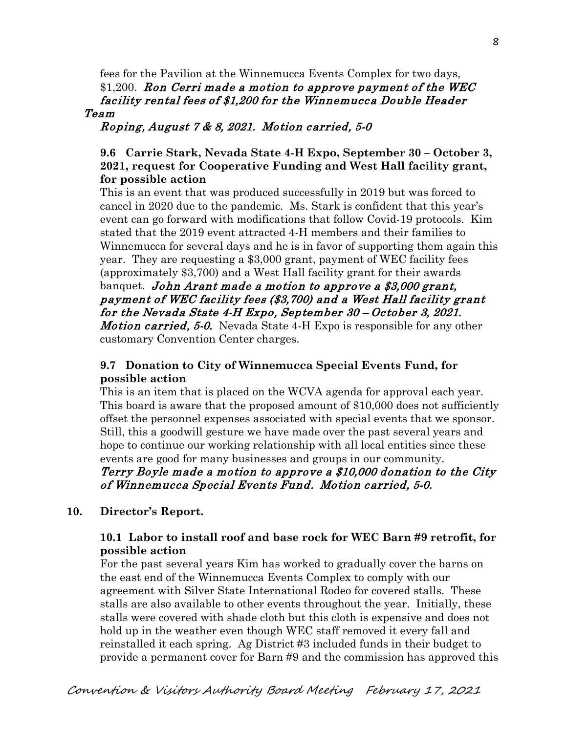fees for the Pavilion at the Winnemucca Events Complex for two days,  $$1,200$ . Ron Cerri made a motion to approve payment of the WEC facility rental fees of \$1,200 for the Winnemucca Double Header Team

Roping, August 7 & 8, 2021. Motion carried, 5-0

## **9.6 Carrie Stark, Nevada State 4-H Expo, September 30 – October 3, 2021, request for Cooperative Funding and West Hall facility grant, for possible action**

This is an event that was produced successfully in 2019 but was forced to cancel in 2020 due to the pandemic. Ms. Stark is confident that this year's event can go forward with modifications that follow Covid-19 protocols. Kim stated that the 2019 event attracted 4-H members and their families to Winnemucca for several days and he is in favor of supporting them again this year. They are requesting a \$3,000 grant, payment of WEC facility fees (approximately \$3,700) and a West Hall facility grant for their awards banquet. John Arant made a motion to approve a \$3,000 grant, payment of WEC facility fees (\$3,700) and a West Hall facility grant for the Nevada State 4-H Expo, September 30 – October 3, 2021.

*Motion carried, 5-0.* Nevada State 4-H Expo is responsible for any other customary Convention Center charges.

## **9.7 Donation to City of Winnemucca Special Events Fund, for possible action**

This is an item that is placed on the WCVA agenda for approval each year. This board is aware that the proposed amount of \$10,000 does not sufficiently offset the personnel expenses associated with special events that we sponsor. Still, this a goodwill gesture we have made over the past several years and hope to continue our working relationship with all local entities since these events are good for many businesses and groups in our community.

## Terry Boyle made a motion to approve a \$10,000 donation to the City of Winnemucca Special Events Fund. Motion carried, 5-0.

## **10. Director's Report.**

## **10.1 Labor to install roof and base rock for WEC Barn #9 retrofit, for possible action**

For the past several years Kim has worked to gradually cover the barns on the east end of the Winnemucca Events Complex to comply with our agreement with Silver State International Rodeo for covered stalls. These stalls are also available to other events throughout the year. Initially, these stalls were covered with shade cloth but this cloth is expensive and does not hold up in the weather even though WEC staff removed it every fall and reinstalled it each spring. Ag District #3 included funds in their budget to provide a permanent cover for Barn #9 and the commission has approved this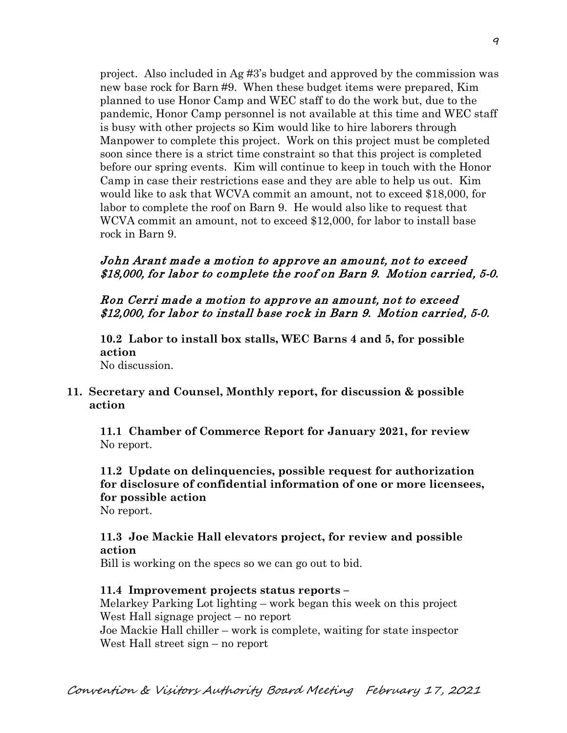project. Also included in Ag #3's budget and approved by the commission was new base rock for Barn #9. When these budget items were prepared, Kim planned to use Honor Camp and WEC staff to do the work but, due to the pandemic, Honor Camp personnel is not available at this time and WEC staff is busy with other projects so Kim would like to hire laborers through Manpower to complete this project. Work on this project must be completed soon since there is a strict time constraint so that this project is completed before our spring events. Kim will continue to keep in touch with the Honor Camp in case their restrictions ease and they are able to help us out. Kim would like to ask that WCVA commit an amount, not to exceed \$18,000, for labor to complete the roof on Barn 9. He would also like to request that WCVA commit an amount, not to exceed \$12,000, for labor to install base rock in Barn 9.

#### John Arant made a motion to approve an amount, not to exceed \$18,000, for labor to complete the roof on Barn 9. Motion carried, 5-0.

#### Ron Cerri made a motion to approve an amount, not to exceed \$12,000, for labor to install base rock in Barn 9. Motion carried, 5-0.

**10.2 Labor to install box stalls, WEC Barns 4 and 5, for possible action** No discussion.

## **11. Secretary and Counsel, Monthly report, for discussion & possible action**

 **11.1 Chamber of Commerce Report for January 2021, for review** No report.

**11.2 Update on delinquencies, possible request for authorization for disclosure of confidential information of one or more licensees, for possible action**

No report.

## **11.3 Joe Mackie Hall elevators project, for review and possible action**

Bill is working on the specs so we can go out to bid.

#### **11.4 Improvement projects status reports –**

Melarkey Parking Lot lighting – work began this week on this project West Hall signage project – no report Joe Mackie Hall chiller – work is complete, waiting for state inspector West Hall street sign – no report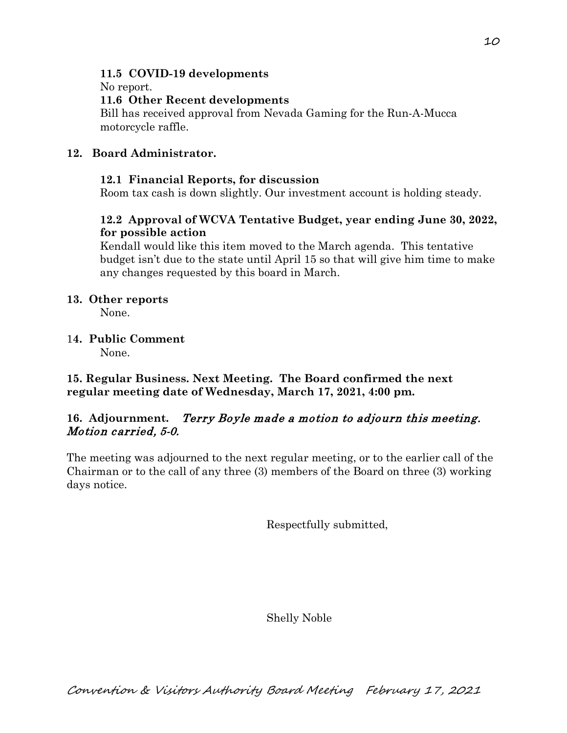## **11.5 COVID-19 developments**

No report.

## **11.6 Other Recent developments**

Bill has received approval from Nevada Gaming for the Run-A-Mucca motorcycle raffle.

# **12. Board Administrator.**

# **12.1 Financial Reports, for discussion**

Room tax cash is down slightly. Our investment account is holding steady.

# **12.2 Approval of WCVA Tentative Budget, year ending June 30, 2022, for possible action**

Kendall would like this item moved to the March agenda. This tentative budget isn't due to the state until April 15 so that will give him time to make any changes requested by this board in March.

## **13. Other reports**

None.

# 1**4. Public Comment**

None.

**15. Regular Business. Next Meeting. The Board confirmed the next regular meeting date of Wednesday, March 17, 2021, 4:00 pm.** 

# **16. Adjournment.** Terry Boyle made a motion to adjourn this meeting. Motion carried, 5-0.

The meeting was adjourned to the next regular meeting, or to the earlier call of the Chairman or to the call of any three (3) members of the Board on three (3) working days notice.

Respectfully submitted,

Shelly Noble